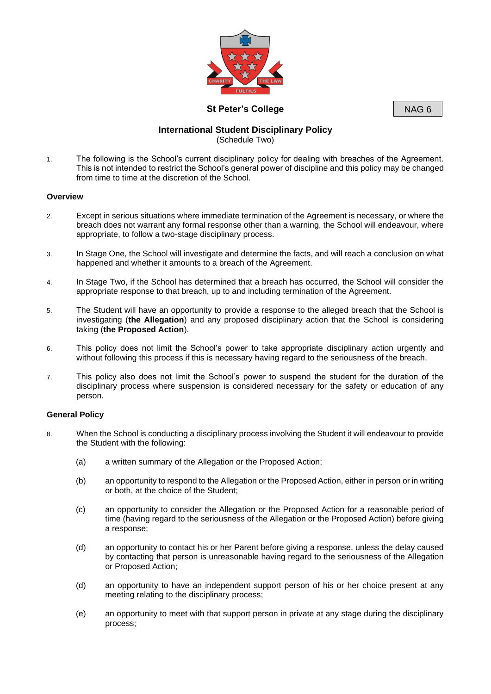

**St Peter's College**

NAG 6

# **International Student Disciplinary Policy** (Schedule Two)

1. The following is the School's current disciplinary policy for dealing with breaches of the Agreement. This is not intended to restrict the School's general power of discipline and this policy may be changed from time to time at the discretion of the School.

## **Overview**

- 2. Except in serious situations where immediate termination of the Agreement is necessary, or where the breach does not warrant any formal response other than a warning, the School will endeavour, where appropriate, to follow a two-stage disciplinary process.
- 3. In Stage One, the School will investigate and determine the facts, and will reach a conclusion on what happened and whether it amounts to a breach of the Agreement.
- 4. In Stage Two, if the School has determined that a breach has occurred, the School will consider the appropriate response to that breach, up to and including termination of the Agreement.
- 5. The Student will have an opportunity to provide a response to the alleged breach that the School is investigating (**the Allegation**) and any proposed disciplinary action that the School is considering taking (**the Proposed Action**).
- 6. This policy does not limit the School's power to take appropriate disciplinary action urgently and without following this process if this is necessary having regard to the seriousness of the breach.
- 7. This policy also does not limit the School's power to suspend the student for the duration of the disciplinary process where suspension is considered necessary for the safety or education of any person.

## **General Policy**

- 8. When the School is conducting a disciplinary process involving the Student it will endeavour to provide the Student with the following:
	- (a) a written summary of the Allegation or the Proposed Action;
	- (b) an opportunity to respond to the Allegation or the Proposed Action, either in person or in writing or both, at the choice of the Student;
	- (c) an opportunity to consider the Allegation or the Proposed Action for a reasonable period of time (having regard to the seriousness of the Allegation or the Proposed Action) before giving a response;
	- (d) an opportunity to contact his or her Parent before giving a response, unless the delay caused by contacting that person is unreasonable having regard to the seriousness of the Allegation or Proposed Action;
	- (d) an opportunity to have an independent support person of his or her choice present at any meeting relating to the disciplinary process;
	- (e) an opportunity to meet with that support person in private at any stage during the disciplinary process;